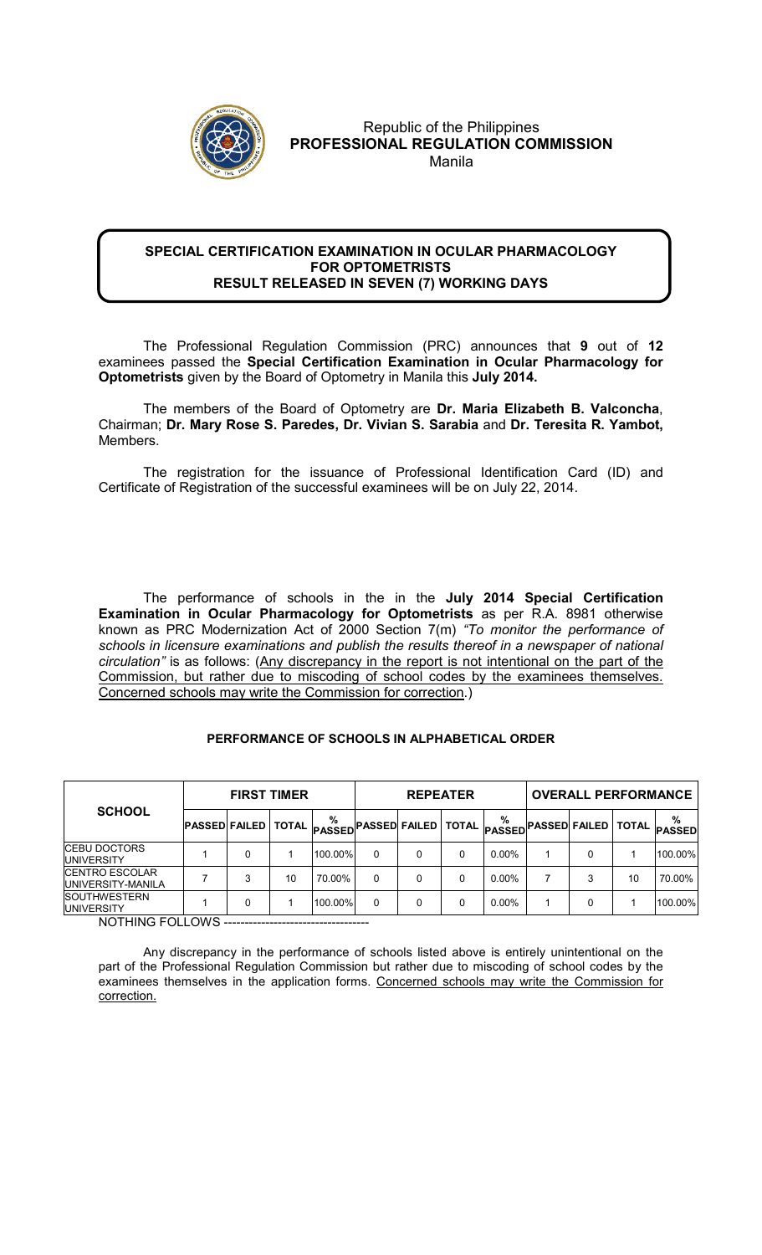

## Republic of the Philippines **PROFESSIONAL REGULATION COMMISSION**  Manila

## **SPECIAL CERTIFICATION EXAMINATION IN OCULAR PHARMACOLOGY FOR OPTOMETRISTS RESULT RELEASED IN SEVEN (7) WORKING DAYS**

 The Professional Regulation Commission (PRC) announces that **9** out of **12** examinees passed the **Special Certification Examination in Ocular Pharmacology for Optometrists** given by the Board of Optometry in Manila this **July 2014.** 

The members of the Board of Optometry are **Dr. Maria Elizabeth B. Valconcha**, Chairman; **Dr. Mary Rose S. Paredes, Dr. Vivian S. Sarabia** and **Dr. Teresita R. Yambot,**  Members.

The registration for the issuance of Professional Identification Card (ID) and Certificate of Registration of the successful examinees will be on July 22, 2014.

The performance of schools in the in the **July 2014 Special Certification Examination in Ocular Pharmacology for Optometrists** as per R.A. 8981 otherwise known as PRC Modernization Act of 2000 Section 7(m) *"To monitor the performance of schools in licensure examinations and publish the results thereof in a newspaper of national circulation"* is as follows: (Any discrepancy in the report is not intentional on the part of the Commission, but rather due to miscoding of school codes by the examinees themselves. Concerned schools may write the Commission for correction.)

## **PERFORMANCE OF SCHOOLS IN ALPHABETICAL ORDER**

| <b>SCHOOL</b>                                | <b>FIRST TIMER</b>           |  |    |                    | <b>REPEATER</b> |   |  |          | <b>OVERALL PERFORMANCE</b> |                                                      |              |                    |
|----------------------------------------------|------------------------------|--|----|--------------------|-----------------|---|--|----------|----------------------------|------------------------------------------------------|--------------|--------------------|
|                                              | <b>PASSED FAILED   TOTAL</b> |  |    | %<br><b>PASSED</b> |                 |   |  | %        |                            | )PASSED FAILED TOTAL <sub>PASSED</sub> PASSED FAILED | <b>TOTAL</b> | %<br><b>PASSED</b> |
| <b>ICEBU DOCTORS</b><br><b>IUNIVERSITY</b>   |                              |  |    | 100.00%            |                 | 0 |  | $0.00\%$ |                            |                                                      |              | 100.00%            |
| <b>ICENTRO ESCOLAR</b><br>IUNIVERSITY-MANILA |                              |  | 10 | 70.00%             |                 |   |  | $0.00\%$ |                            | 3                                                    | 10           | 70.00%             |
| <b>SOUTHWESTERN</b><br><b>IUNIVERSITY</b>    |                              |  |    | 100.00%            |                 |   |  | $0.00\%$ |                            |                                                      |              | 100.00%            |

NOTHING FOLLOWS -----------------------------------

Any discrepancy in the performance of schools listed above is entirely unintentional on the part of the Professional Regulation Commission but rather due to miscoding of school codes by the examinees themselves in the application forms. Concerned schools may write the Commission for correction.